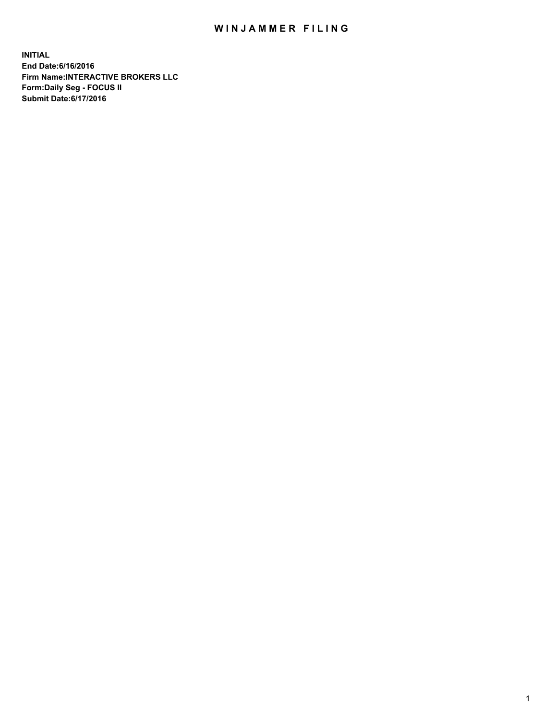## WIN JAMMER FILING

**INITIAL End Date:6/16/2016 Firm Name:INTERACTIVE BROKERS LLC Form:Daily Seg - FOCUS II Submit Date:6/17/2016**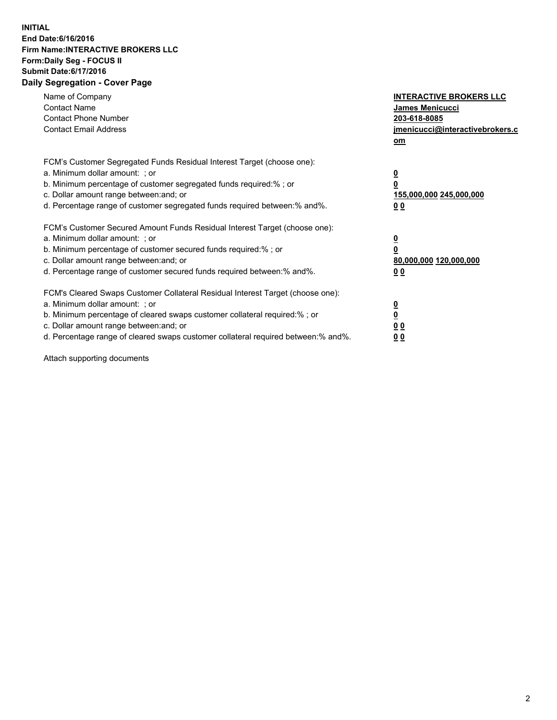## **INITIAL End Date:6/16/2016 Firm Name:INTERACTIVE BROKERS LLC Form:Daily Seg - FOCUS II Submit Date:6/17/2016 Daily Segregation - Cover Page**

| Name of Company<br><b>Contact Name</b><br><b>Contact Phone Number</b><br><b>Contact Email Address</b>                                                                                                                                                                                                                          | <b>INTERACTIVE BROKERS LLC</b><br><b>James Menicucci</b><br>203-618-8085<br>jmenicucci@interactivebrokers.c<br>om |
|--------------------------------------------------------------------------------------------------------------------------------------------------------------------------------------------------------------------------------------------------------------------------------------------------------------------------------|-------------------------------------------------------------------------------------------------------------------|
| FCM's Customer Segregated Funds Residual Interest Target (choose one):<br>a. Minimum dollar amount: ; or<br>b. Minimum percentage of customer segregated funds required:% ; or<br>c. Dollar amount range between: and; or<br>d. Percentage range of customer segregated funds required between: % and %.                       | $\overline{\mathbf{0}}$<br>0<br>155,000,000 245,000,000<br>00                                                     |
| FCM's Customer Secured Amount Funds Residual Interest Target (choose one):<br>a. Minimum dollar amount: ; or<br>b. Minimum percentage of customer secured funds required:%; or<br>c. Dollar amount range between: and; or<br>d. Percentage range of customer secured funds required between: % and %.                          | $\overline{\mathbf{0}}$<br>0<br>80,000,000 120,000,000<br>00                                                      |
| FCM's Cleared Swaps Customer Collateral Residual Interest Target (choose one):<br>a. Minimum dollar amount: ; or<br>b. Minimum percentage of cleared swaps customer collateral required:% ; or<br>c. Dollar amount range between: and; or<br>d. Percentage range of cleared swaps customer collateral required between:% and%. | $\overline{\mathbf{0}}$<br>$\overline{\mathbf{0}}$<br>00<br>0 <sub>0</sub>                                        |

Attach supporting documents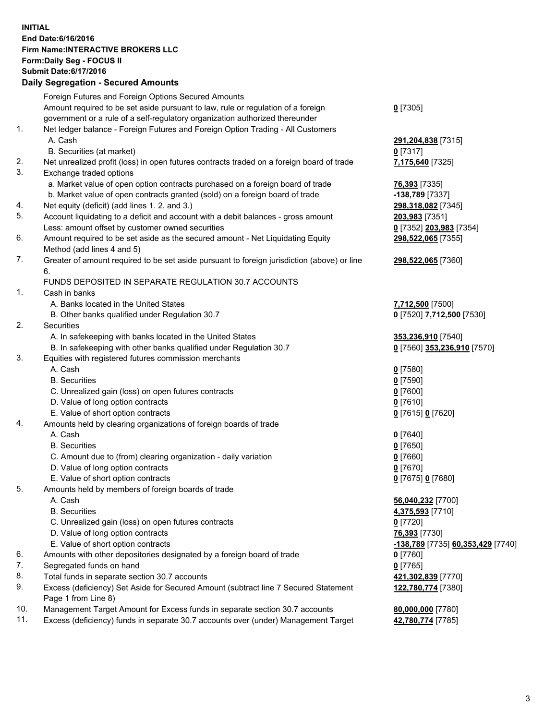## **INITIAL End Date:6/16/2016 Firm Name:INTERACTIVE BROKERS LLC Form:Daily Seg - FOCUS II Submit Date:6/17/2016 Daily Segregation - Secured Amounts**

|     | Dany Ocgregation - Oceanea Annoanta                                                         |                                                 |
|-----|---------------------------------------------------------------------------------------------|-------------------------------------------------|
|     | Foreign Futures and Foreign Options Secured Amounts                                         |                                                 |
|     | Amount required to be set aside pursuant to law, rule or regulation of a foreign            | $0$ [7305]                                      |
|     | government or a rule of a self-regulatory organization authorized thereunder                |                                                 |
| 1.  | Net ledger balance - Foreign Futures and Foreign Option Trading - All Customers             |                                                 |
|     | A. Cash                                                                                     | 291,204,838 [7315]                              |
|     | B. Securities (at market)                                                                   | $0$ [7317]                                      |
| 2.  | Net unrealized profit (loss) in open futures contracts traded on a foreign board of trade   | 7,175,640 [7325]                                |
| 3.  | Exchange traded options                                                                     |                                                 |
|     | a. Market value of open option contracts purchased on a foreign board of trade              | <b>76,393</b> [7335]                            |
|     | b. Market value of open contracts granted (sold) on a foreign board of trade                | <u>-138,789</u> [7337]                          |
| 4.  | Net equity (deficit) (add lines 1.2. and 3.)                                                | 298,318,082 [7345]                              |
| 5.  | Account liquidating to a deficit and account with a debit balances - gross amount           | 203,983 [7351]                                  |
|     | Less: amount offset by customer owned securities                                            | 0 [7352] 203,983 [7354]                         |
| 6.  | Amount required to be set aside as the secured amount - Net Liquidating Equity              | 298,522,065 [7355]                              |
|     | Method (add lines 4 and 5)                                                                  |                                                 |
| 7.  | Greater of amount required to be set aside pursuant to foreign jurisdiction (above) or line | 298,522,065 [7360]                              |
|     | 6.                                                                                          |                                                 |
|     | FUNDS DEPOSITED IN SEPARATE REGULATION 30.7 ACCOUNTS                                        |                                                 |
| 1.  | Cash in banks                                                                               |                                                 |
|     | A. Banks located in the United States                                                       | 7,712,500 [7500]                                |
|     | B. Other banks qualified under Regulation 30.7                                              | 0 [7520] 7,712,500 [7530]                       |
| 2.  | Securities                                                                                  |                                                 |
|     | A. In safekeeping with banks located in the United States                                   | 353,236,910 [7540]                              |
|     | B. In safekeeping with other banks qualified under Regulation 30.7                          | 0 [7560] 353,236,910 [7570]                     |
| 3.  | Equities with registered futures commission merchants                                       |                                                 |
|     | A. Cash                                                                                     | $0$ [7580]                                      |
|     | <b>B.</b> Securities                                                                        | $0$ [7590]                                      |
|     | C. Unrealized gain (loss) on open futures contracts                                         | $0$ [7600]                                      |
|     | D. Value of long option contracts                                                           | $0$ [7610]                                      |
|     | E. Value of short option contracts                                                          | 0 [7615] 0 [7620]                               |
| 4.  | Amounts held by clearing organizations of foreign boards of trade                           |                                                 |
|     | A. Cash                                                                                     | $0$ [7640]                                      |
|     | <b>B.</b> Securities                                                                        | $0$ [7650]                                      |
|     | C. Amount due to (from) clearing organization - daily variation                             | $0$ [7660]                                      |
|     | D. Value of long option contracts                                                           | $0$ [7670]                                      |
|     | E. Value of short option contracts                                                          | 0 [7675] 0 [7680]                               |
| 5.  | Amounts held by members of foreign boards of trade                                          |                                                 |
|     | A. Cash                                                                                     | 56,040,232 [7700]                               |
|     | <b>B.</b> Securities                                                                        | 4,375,593 [7710]                                |
|     | C. Unrealized gain (loss) on open futures contracts                                         | $0$ [7720]                                      |
|     | D. Value of long option contracts                                                           | <b>76,393</b> [7730]                            |
|     | E. Value of short option contracts                                                          | <u>-138,789</u> [7735] <u>60,353,429</u> [7740] |
| 6.  | Amounts with other depositories designated by a foreign board of trade                      | $0$ [7760]                                      |
| 7.  | Segregated funds on hand                                                                    | $0$ [7765]                                      |
| 8.  | Total funds in separate section 30.7 accounts                                               | 421,302,839 [7770]                              |
| 9.  | Excess (deficiency) Set Aside for Secured Amount (subtract line 7 Secured Statement         | 122,780,774 [7380]                              |
|     | Page 1 from Line 8)                                                                         |                                                 |
| 10. | Management Target Amount for Excess funds in separate section 30.7 accounts                 | 80,000,000 [7780]                               |
| 11. | Excess (deficiency) funds in separate 30.7 accounts over (under) Management Target          | 42,780,774 [7785]                               |
|     |                                                                                             |                                                 |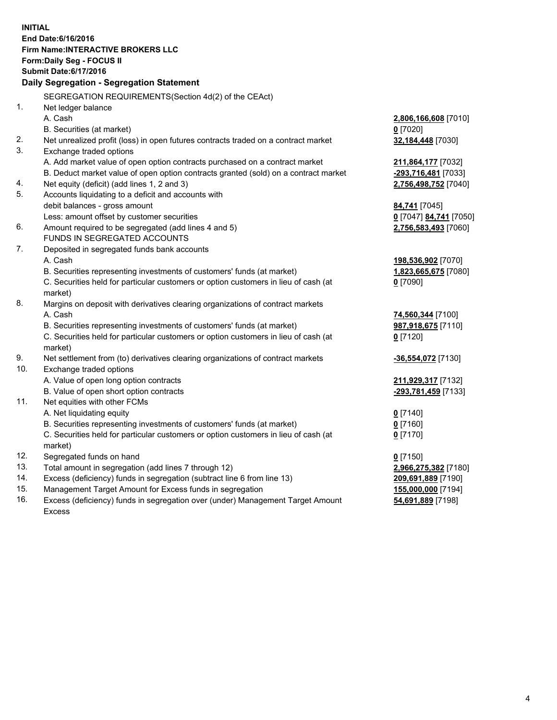**INITIAL End Date:6/16/2016 Firm Name:INTERACTIVE BROKERS LLC Form:Daily Seg - FOCUS II Submit Date:6/17/2016 Daily Segregation - Segregation Statement** SEGREGATION REQUIREMENTS(Section 4d(2) of the CEAct) 1. Net ledger balance A. Cash **2,806,166,608** [7010] B. Securities (at market) **0** [7020] 2. Net unrealized profit (loss) in open futures contracts traded on a contract market **32,184,448** [7030] 3. Exchange traded options A. Add market value of open option contracts purchased on a contract market **211,864,177** [7032] B. Deduct market value of open option contracts granted (sold) on a contract market **-293,716,481** [7033] 4. Net equity (deficit) (add lines 1, 2 and 3) **2,756,498,752** [7040] 5. Accounts liquidating to a deficit and accounts with debit balances - gross amount **84,741** [7045] Less: amount offset by customer securities **0** [7047] **84,741** [7050] 6. Amount required to be segregated (add lines 4 and 5) **2,756,583,493** [7060] FUNDS IN SEGREGATED ACCOUNTS 7. Deposited in segregated funds bank accounts A. Cash **198,536,902** [7070] B. Securities representing investments of customers' funds (at market) **1,823,665,675** [7080] C. Securities held for particular customers or option customers in lieu of cash (at market) **0** [7090] 8. Margins on deposit with derivatives clearing organizations of contract markets A. Cash **74,560,344** [7100] B. Securities representing investments of customers' funds (at market) **987,918,675** [7110] C. Securities held for particular customers or option customers in lieu of cash (at market) **0** [7120] 9. Net settlement from (to) derivatives clearing organizations of contract markets **-36,554,072** [7130] 10. Exchange traded options A. Value of open long option contracts **211,929,317** [7132] B. Value of open short option contracts **-293,781,459** [7133] 11. Net equities with other FCMs A. Net liquidating equity **0** [7140] B. Securities representing investments of customers' funds (at market) **0** [7160] C. Securities held for particular customers or option customers in lieu of cash (at market) **0** [7170] 12. Segregated funds on hand **0** [7150] 13. Total amount in segregation (add lines 7 through 12) **2,966,275,382** [7180] 14. Excess (deficiency) funds in segregation (subtract line 6 from line 13) **209,691,889** [7190] 15. Management Target Amount for Excess funds in segregation **155,000,000** [7194] 16. Excess (deficiency) funds in segregation over (under) Management Target Amount **54,691,889** [7198]

Excess